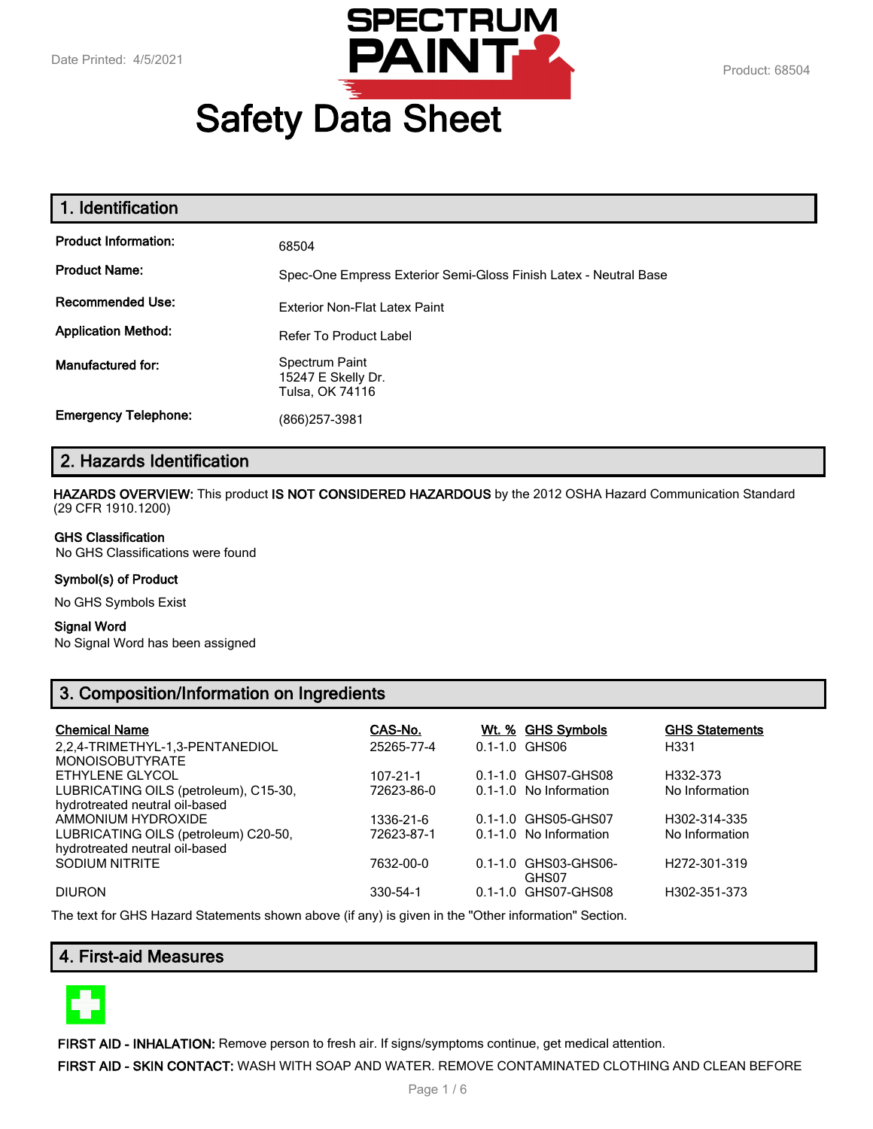

# **Safety Data Sheet**

| 1. Identification           |                                                                  |
|-----------------------------|------------------------------------------------------------------|
| <b>Product Information:</b> | 68504                                                            |
| <b>Product Name:</b>        | Spec-One Empress Exterior Semi-Gloss Finish Latex - Neutral Base |
| <b>Recommended Use:</b>     | <b>Exterior Non-Flat Latex Paint</b>                             |
| <b>Application Method:</b>  | Refer To Product Label                                           |
| Manufactured for:           | Spectrum Paint<br>15247 E Skelly Dr.<br>Tulsa, OK 74116          |
| <b>Emergency Telephone:</b> | (866)257-3981                                                    |

## **2. Hazards Identification**

**HAZARDS OVERVIEW:** This product **IS NOT CONSIDERED HAZARDOUS** by the 2012 OSHA Hazard Communication Standard (29 CFR 1910.1200)

#### **GHS Classification**

No GHS Classifications were found

#### **Symbol(s) of Product**

No GHS Symbols Exist

#### **Signal Word**

No Signal Word has been assigned

# **3. Composition/Information on Ingredients**

| <b>Chemical Name</b>                  | CAS-No.    | Wt. % GHS Symbols      | <b>GHS Statements</b>     |
|---------------------------------------|------------|------------------------|---------------------------|
| 2,2,4-TRIMETHYL-1,3-PENTANEDIOL       | 25265-77-4 | $0.1 - 1.0$ GHS06      | H331                      |
| <b>MONOISOBUTYRATE</b>                |            |                        |                           |
| ETHYLENE GLYCOL                       | 107-21-1   | 0.1-1.0 GHS07-GHS08    | H332-373                  |
| LUBRICATING OILS (petroleum), C15-30, | 72623-86-0 | 0.1-1.0 No Information | No Information            |
| hydrotreated neutral oil-based        |            |                        |                           |
| AMMONIUM HYDROXIDE                    | 1336-21-6  | 0.1-1.0 GHS05-GHS07    | H302-314-335              |
| LUBRICATING OILS (petroleum) C20-50,  | 72623-87-1 | 0.1-1.0 No Information | No Information            |
| hydrotreated neutral oil-based        |            |                        |                           |
| SODIUM NITRITE                        | 7632-00-0  | 0.1-1.0 GHS03-GHS06-   | H <sub>272</sub> -301-319 |
|                                       |            | GHS07                  |                           |
| <b>DIURON</b>                         | 330-54-1   | 0.1-1.0 GHS07-GHS08    | H302-351-373              |

The text for GHS Hazard Statements shown above (if any) is given in the "Other information" Section.

## **4. First-aid Measures**



**FIRST AID - INHALATION:** Remove person to fresh air. If signs/symptoms continue, get medical attention.

**FIRST AID - SKIN CONTACT:** WASH WITH SOAP AND WATER. REMOVE CONTAMINATED CLOTHING AND CLEAN BEFORE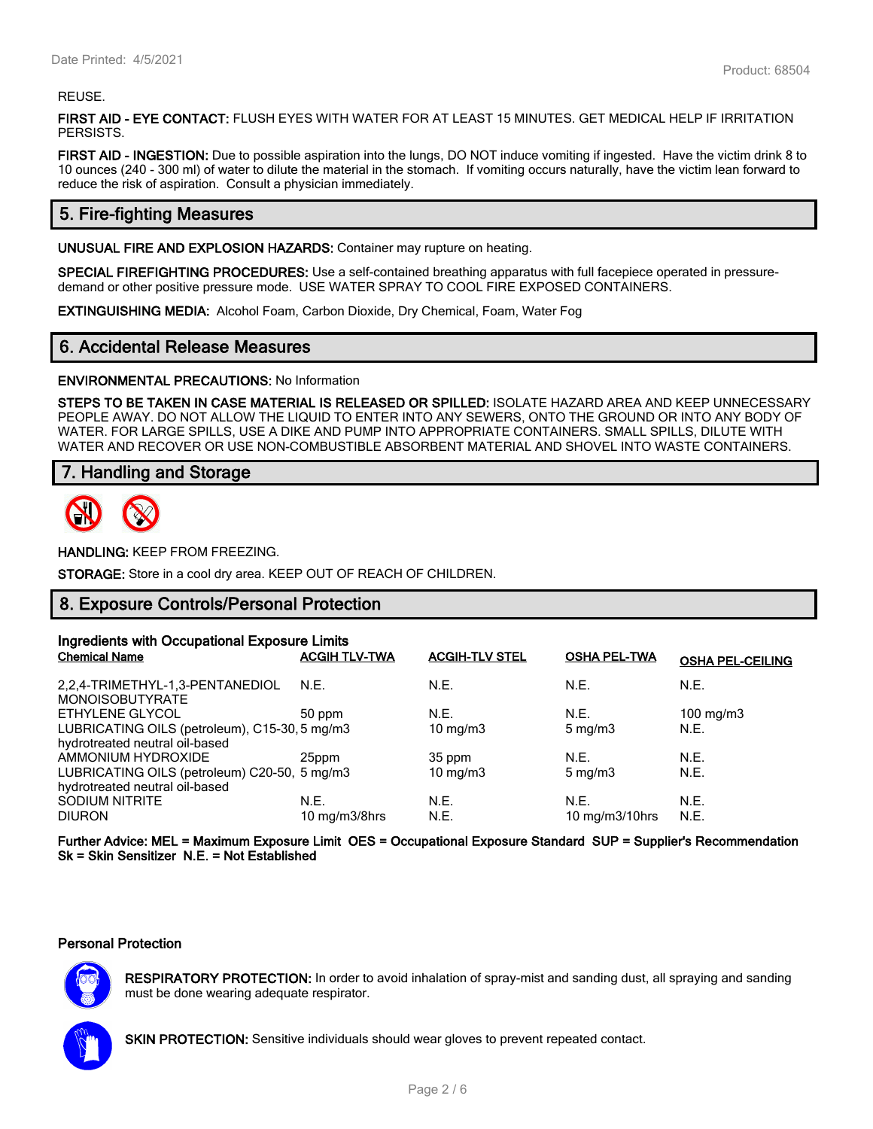#### REUSE.

**FIRST AID - EYE CONTACT:** FLUSH EYES WITH WATER FOR AT LEAST 15 MINUTES. GET MEDICAL HELP IF IRRITATION PERSISTS.

**FIRST AID - INGESTION:** Due to possible aspiration into the lungs, DO NOT induce vomiting if ingested. Have the victim drink 8 to 10 ounces (240 - 300 ml) of water to dilute the material in the stomach. If vomiting occurs naturally, have the victim lean forward to reduce the risk of aspiration. Consult a physician immediately.

# **5. Fire-fighting Measures**

**UNUSUAL FIRE AND EXPLOSION HAZARDS:** Container may rupture on heating.

**SPECIAL FIREFIGHTING PROCEDURES:** Use a self-contained breathing apparatus with full facepiece operated in pressuredemand or other positive pressure mode. USE WATER SPRAY TO COOL FIRE EXPOSED CONTAINERS.

**EXTINGUISHING MEDIA:** Alcohol Foam, Carbon Dioxide, Dry Chemical, Foam, Water Fog

## **6. Accidental Release Measures**

**ENVIRONMENTAL PRECAUTIONS:** No Information

**STEPS TO BE TAKEN IN CASE MATERIAL IS RELEASED OR SPILLED:** ISOLATE HAZARD AREA AND KEEP UNNECESSARY PEOPLE AWAY. DO NOT ALLOW THE LIQUID TO ENTER INTO ANY SEWERS, ONTO THE GROUND OR INTO ANY BODY OF WATER. FOR LARGE SPILLS, USE A DIKE AND PUMP INTO APPROPRIATE CONTAINERS. SMALL SPILLS, DILUTE WITH WATER AND RECOVER OR USE NON-COMBUSTIBLE ABSORBENT MATERIAL AND SHOVEL INTO WASTE CONTAINERS.

## **7. Handling and Storage**



**HANDLING:** KEEP FROM FREEZING.

**STORAGE:** Store in a cool dry area. KEEP OUT OF REACH OF CHILDREN.

## **8. Exposure Controls/Personal Protection**

| Ingredients with Occupational Exposure Limits             |                             |                       |                     |                         |
|-----------------------------------------------------------|-----------------------------|-----------------------|---------------------|-------------------------|
| <b>Chemical Name</b>                                      | <b>ACGIH TLV-TWA</b>        | <b>ACGIH-TLV STEL</b> | <b>OSHA PEL-TWA</b> | <b>OSHA PEL-CEILING</b> |
| 2.2.4-TRIMETHYL-1.3-PENTANEDIOL<br><b>MONOISOBUTYRATE</b> | N.E.                        | N.E.                  | N.E.                | N.E.                    |
| ETHYLENE GLYCOL                                           | 50 ppm                      | N.E.                  | N.E.                | 100 mg/m $3$            |
| LUBRICATING OILS (petroleum), C15-30, 5 mg/m3             |                             | 10 mg/m $3$           | $5 \text{ mg/m}$    | N.E.                    |
| hydrotreated neutral oil-based                            |                             |                       |                     |                         |
| AMMONIUM HYDROXIDE                                        | 25ppm                       | 35 ppm                | N.E.                | N.E.                    |
| LUBRICATING OILS (petroleum) C20-50, 5 mg/m3              |                             | $10 \text{ mg/m}$     | $5 \text{ mg/m}$    | N.E.                    |
| hydrotreated neutral oil-based                            |                             |                       |                     |                         |
| <b>SODIUM NITRITE</b>                                     | N.E.                        | N.E.                  | N.E.                | N.E.                    |
| <b>DIURON</b>                                             | $10 \text{ mg/m}$ $3/8$ hrs | N.E.                  | 10 $mg/m3/10$ hrs   | N.E.                    |

**Further Advice: MEL = Maximum Exposure Limit OES = Occupational Exposure Standard SUP = Supplier's Recommendation Sk = Skin Sensitizer N.E. = Not Established**

#### **Personal Protection**



**RESPIRATORY PROTECTION:** In order to avoid inhalation of spray-mist and sanding dust, all spraying and sanding must be done wearing adequate respirator.

**SKIN PROTECTION:** Sensitive individuals should wear gloves to prevent repeated contact.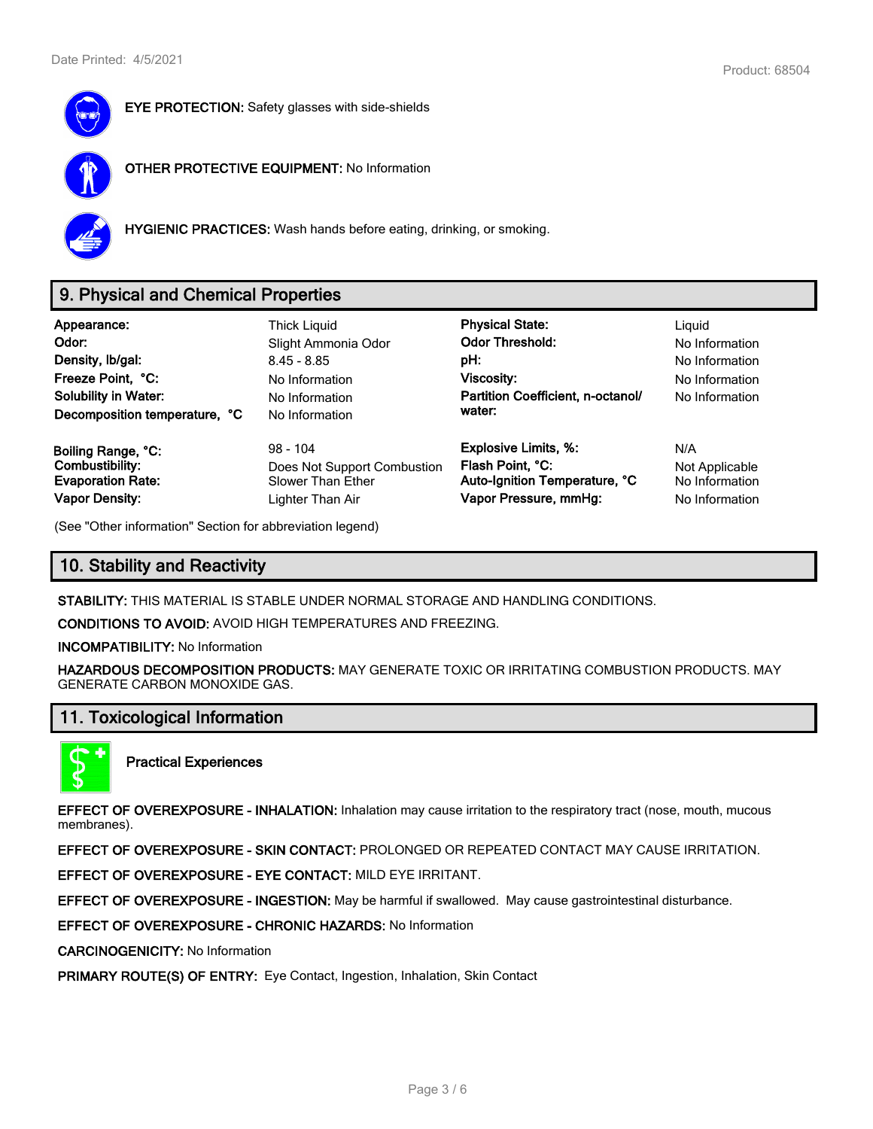

**EYE PROTECTION:** Safety glasses with side-shields



**OTHER PROTECTIVE EQUIPMENT:** No Information



**HYGIENIC PRACTICES:** Wash hands before eating, drinking, or smoking.

# **9. Physical and Chemical Properties**

| Appearance:<br>Odor:<br>Density, Ib/gal:<br>Freeze Point, °C:<br><b>Solubility in Water:</b><br>Decomposition temperature, °C | Thick Liguid<br>Slight Ammonia Odor<br>$8.45 - 8.85$<br>No Information<br>No Information<br>No Information | <b>Physical State:</b><br><b>Odor Threshold:</b><br>pH:<br>Viscosity:<br>Partition Coefficient, n-octanol/<br>water: | Liguid<br>No Information<br>No Information<br>No Information<br>No Information |
|-------------------------------------------------------------------------------------------------------------------------------|------------------------------------------------------------------------------------------------------------|----------------------------------------------------------------------------------------------------------------------|--------------------------------------------------------------------------------|
| Boiling Range, °C:                                                                                                            | $98 - 104$                                                                                                 | <b>Explosive Limits, %:</b>                                                                                          | N/A                                                                            |
| Combustibility:                                                                                                               | Does Not Support Combustion                                                                                | Flash Point, °C:                                                                                                     | Not Applicable                                                                 |
| <b>Evaporation Rate:</b>                                                                                                      | Slower Than Ether                                                                                          | Auto-Ignition Temperature, °C                                                                                        | No Information                                                                 |
| <b>Vapor Density:</b>                                                                                                         | Lighter Than Air                                                                                           | Vapor Pressure, mmHg:                                                                                                | No Information                                                                 |

(See "Other information" Section for abbreviation legend)

# **10. Stability and Reactivity**

**STABILITY:** THIS MATERIAL IS STABLE UNDER NORMAL STORAGE AND HANDLING CONDITIONS.

**CONDITIONS TO AVOID:** AVOID HIGH TEMPERATURES AND FREEZING.

**INCOMPATIBILITY:** No Information

**HAZARDOUS DECOMPOSITION PRODUCTS:** MAY GENERATE TOXIC OR IRRITATING COMBUSTION PRODUCTS. MAY GENERATE CARBON MONOXIDE GAS.

## **11. Toxicological Information**



**Practical Experiences**

**EFFECT OF OVEREXPOSURE - INHALATION:** Inhalation may cause irritation to the respiratory tract (nose, mouth, mucous membranes).

**EFFECT OF OVEREXPOSURE - SKIN CONTACT:** PROLONGED OR REPEATED CONTACT MAY CAUSE IRRITATION.

**EFFECT OF OVEREXPOSURE - EYE CONTACT:** MILD EYE IRRITANT.

**EFFECT OF OVEREXPOSURE - INGESTION:** May be harmful if swallowed. May cause gastrointestinal disturbance.

**EFFECT OF OVEREXPOSURE - CHRONIC HAZARDS:** No Information

**CARCINOGENICITY:** No Information

**PRIMARY ROUTE(S) OF ENTRY:** Eye Contact, Ingestion, Inhalation, Skin Contact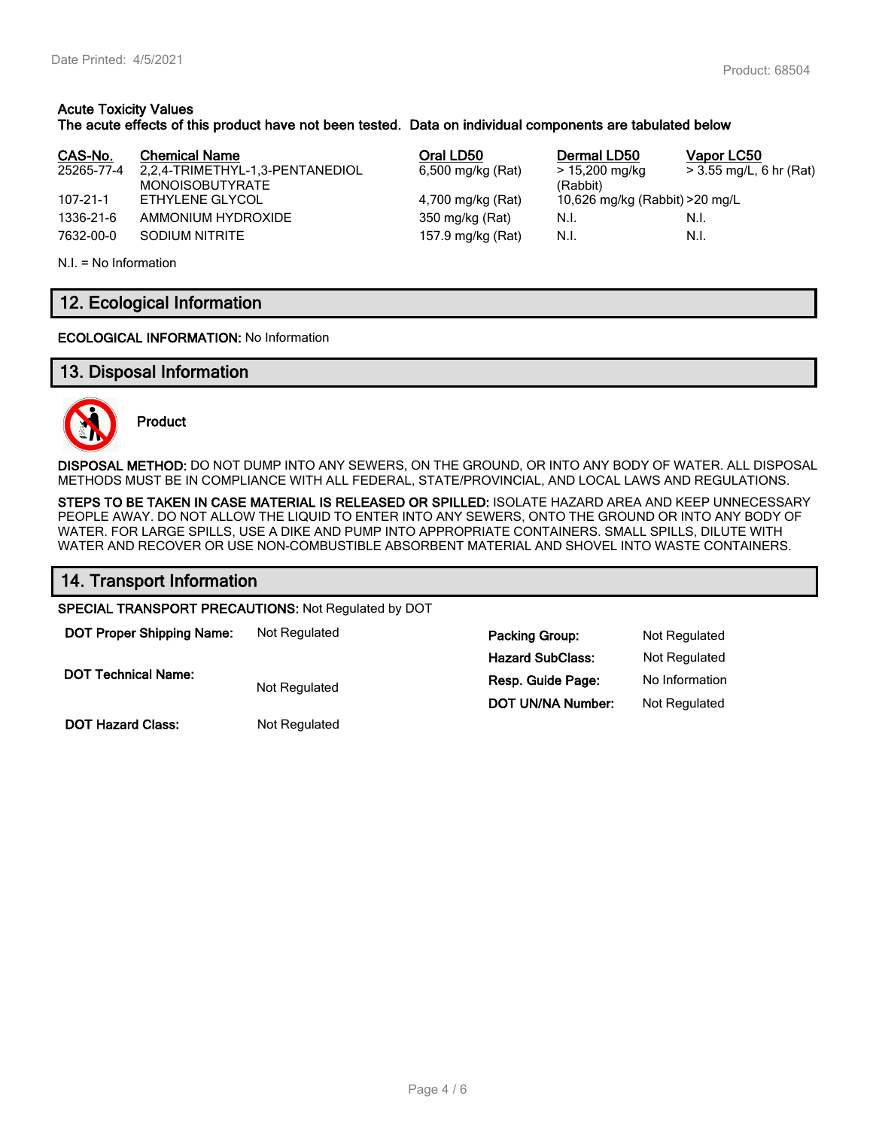#### **Acute Toxicity Values The acute effects of this product have not been tested. Data on individual components are tabulated below**

| CAS-No.        | <b>Chemical Name</b>            | Oral LD50         | Dermal LD50                     | Vapor LC50              |
|----------------|---------------------------------|-------------------|---------------------------------|-------------------------|
| 25265-77-4     | 2,2,4-TRIMETHYL-1,3-PENTANEDIOL | 6,500 mg/kg (Rat) | > 15,200 mg/kg                  | > 3.55 mg/L, 6 hr (Rat) |
|                | <b>MONOISOBUTYRATE</b>          |                   | (Rabbit)                        |                         |
| $107 - 21 - 1$ | ETHYLENE GLYCOL                 | 4,700 mg/kg (Rat) | 10,626 mg/kg (Rabbit) > 20 mg/L |                         |
| 1336-21-6      | AMMONIUM HYDROXIDE              | 350 mg/kg (Rat)   | N.I.                            | N.I.                    |
| 7632-00-0      | SODIUM NITRITE                  | 157.9 mg/kg (Rat) | N.I.                            | N.I.                    |

N.I. = No Information

# **12. Ecological Information**

**ECOLOGICAL INFORMATION:** No Information

## **13. Disposal Information**



**Product**

**DISPOSAL METHOD:** DO NOT DUMP INTO ANY SEWERS, ON THE GROUND, OR INTO ANY BODY OF WATER. ALL DISPOSAL METHODS MUST BE IN COMPLIANCE WITH ALL FEDERAL, STATE/PROVINCIAL, AND LOCAL LAWS AND REGULATIONS.

**STEPS TO BE TAKEN IN CASE MATERIAL IS RELEASED OR SPILLED:** ISOLATE HAZARD AREA AND KEEP UNNECESSARY PEOPLE AWAY. DO NOT ALLOW THE LIQUID TO ENTER INTO ANY SEWERS, ONTO THE GROUND OR INTO ANY BODY OF WATER. FOR LARGE SPILLS, USE A DIKE AND PUMP INTO APPROPRIATE CONTAINERS. SMALL SPILLS, DILUTE WITH WATER AND RECOVER OR USE NON-COMBUSTIBLE ABSORBENT MATERIAL AND SHOVEL INTO WASTE CONTAINERS.

**Hazard SubClass:** Not Regulated

**DOT UN/NA Number:** Not Regulated

## **14. Transport Information**

**SPECIAL TRANSPORT PRECAUTIONS:** Not Regulated by DOT

**DOT Proper Shipping Name:** Not Regulated **Packing Group:** Not Regulated

**DOT Technical Name:**

Not Regulated **Resp. Guide Page:** No Information

**DOT Hazard Class:** Not Regulated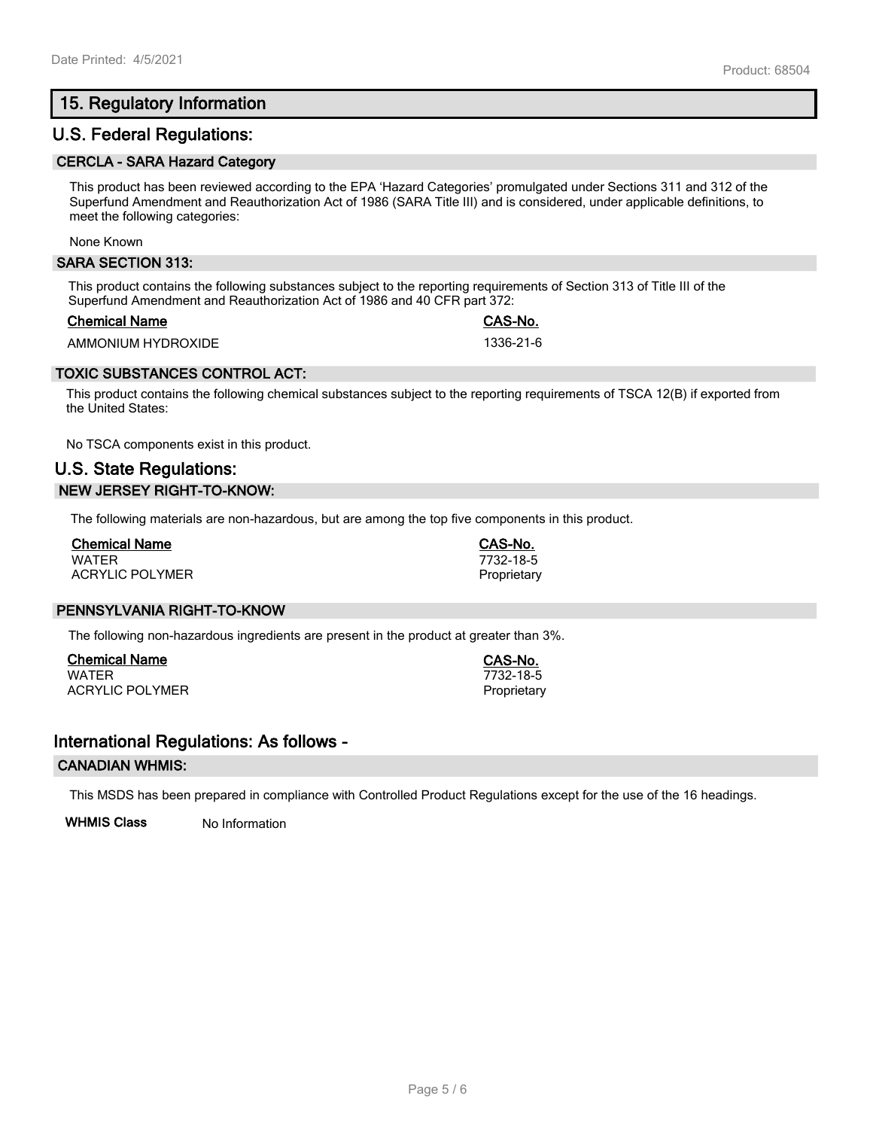# **15. Regulatory Information**

## **U.S. Federal Regulations:**

#### **CERCLA - SARA Hazard Category**

This product has been reviewed according to the EPA 'Hazard Categories' promulgated under Sections 311 and 312 of the Superfund Amendment and Reauthorization Act of 1986 (SARA Title III) and is considered, under applicable definitions, to meet the following categories:

None Known

#### **SARA SECTION 313:**

This product contains the following substances subject to the reporting requirements of Section 313 of Title III of the Superfund Amendment and Reauthorization Act of 1986 and 40 CFR part 372:

#### **Chemical Name CAS-No.**

AMMONIUM HYDROXIDE 1336-21-6

### **TOXIC SUBSTANCES CONTROL ACT:**

This product contains the following chemical substances subject to the reporting requirements of TSCA 12(B) if exported from the United States:

No TSCA components exist in this product.

# **U.S. State Regulations: NEW JERSEY RIGHT-TO-KNOW:**

The following materials are non-hazardous, but are among the top five components in this product.

| <b>Chemical Name</b>   |  |
|------------------------|--|
| <b>WATFR</b>           |  |
| <b>ACRYLIC POLYMER</b> |  |

## **PENNSYLVANIA RIGHT-TO-KNOW**

The following non-hazardous ingredients are present in the product at greater than 3%.

**Chemical Name CAS-No.** ACRYLIC POLYMER **Proprietary** Proprietary

## **International Regulations: As follows -**

#### **CANADIAN WHMIS:**

This MSDS has been prepared in compliance with Controlled Product Regulations except for the use of the 16 headings.

**WHMIS Class** No Information

WATER 7732-18-5

**Chemical Name CAS-No.** WATER 7732-18-5 Proprietary